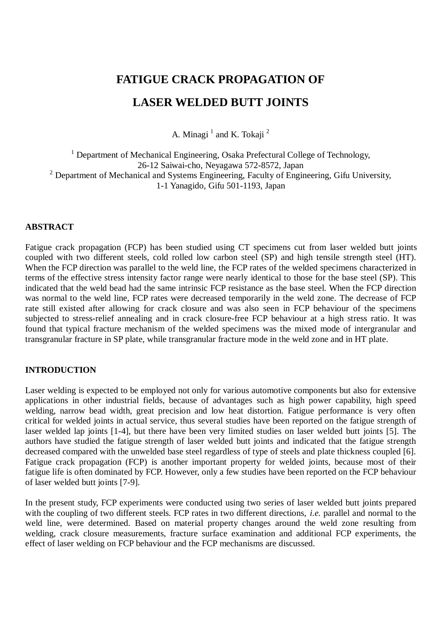# **FATIGUE CRACK PROPAGATION OF LASER WELDED BUTT JOINTS**

A. Minagi  $^1$  and K. Tokaji  $^2$ 

<sup>1</sup> Department of Mechanical Engineering, Osaka Prefectural College of Technology, 26-12 Saiwai-cho, Neyagawa 572-8572, Japan  $2$  Department of Mechanical and Systems Engineering, Faculty of Engineering, Gifu University, 1-1 Yanagido, Gifu 501-1193, Japan

# **ABSTRACT**

Fatigue crack propagation (FCP) has been studied using CT specimens cut from laser welded butt joints coupled with two different steels, cold rolled low carbon steel (SP) and high tensile strength steel (HT). When the FCP direction was parallel to the weld line, the FCP rates of the welded specimens characterized in terms of the effective stress intensity factor range were nearly identical to those for the base steel (SP). This indicated that the weld bead had the same intrinsic FCP resistance as the base steel. When the FCP direction was normal to the weld line, FCP rates were decreased temporarily in the weld zone. The decrease of FCP rate still existed after allowing for crack closure and was also seen in FCP behaviour of the specimens subjected to stress-relief annealing and in crack closure-free FCP behaviour at a high stress ratio. It was found that typical fracture mechanism of the welded specimens was the mixed mode of intergranular and transgranular fracture in SP plate, while transgranular fracture mode in the weld zone and in HT plate.

# **INTRODUCTION**

Laser welding is expected to be employed not only for various automotive components but also for extensive applications in other industrial fields, because of advantages such as high power capability, high speed welding, narrow bead width, great precision and low heat distortion. Fatigue performance is very often critical for welded joints in actual service, thus several studies have been reported on the fatigue strength of laser welded lap joints [1-4], but there have been very limited studies on laser welded butt joints [5]. The authors have studied the fatigue strength of laser welded butt joints and indicated that the fatigue strength decreased compared with the unwelded base steel regardless of type of steels and plate thickness coupled [6]. Fatigue crack propagation (FCP) is another important property for welded joints, because most of their fatigue life is often dominated by FCP. However, only a few studies have been reported on the FCP behaviour of laser welded butt joints [7-9].

In the present study, FCP experiments were conducted using two series of laser welded butt joints prepared with the coupling of two different steels. FCP rates in two different directions, *i.e.* parallel and normal to the weld line, were determined. Based on material property changes around the weld zone resulting from welding, crack closure measurements, fracture surface examination and additional FCP experiments, the effect of laser welding on FCP behaviour and the FCP mechanisms are discussed.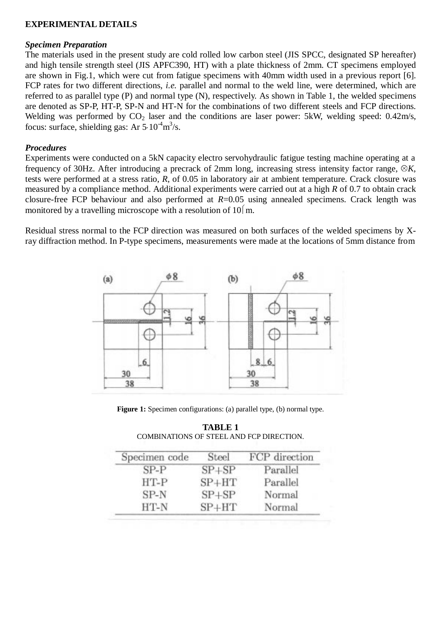# **EXPERIMENTAL DETAILS**

## *Specimen Preparation*

The materials used in the present study are cold rolled low carbon steel (JIS SPCC, designated SP hereafter) and high tensile strength steel (JIS APFC390, HT) with a plate thickness of 2mm. CT specimens employed are shown in Fig.1, which were cut from fatigue specimens with 40mm width used in a previous report [6]. FCP rates for two different directions, *i.e.* parallel and normal to the weld line, were determined, which are referred to as parallel type (P) and normal type (N), respectively. As shown in Table 1, the welded specimens are denoted as SP-P, HT-P, SP-N and HT-N for the combinations of two different steels and FCP directions. Welding was performed by  $CO<sub>2</sub>$  laser and the conditions are laser power: 5kW, welding speed: 0.42m/s, focus: surface, shielding gas: Ar  $5.10^{-4}$ m<sup>3</sup>/s.

# *Procedures*

Experiments were conducted on a 5kN capacity electro servohydraulic fatigue testing machine operating at a frequency of 30Hz. After introducing a precrack of 2mm long, increasing stress intensity factor range,  $\otimes K$ , tests were performed at a stress ratio, *R*, of 0.05 in laboratory air at ambient temperature. Crack closure was measured by a compliance method. Additional experiments were carried out at a high *R* of 0.7 to obtain crack closure-free FCP behaviour and also performed at *R*=0.05 using annealed specimens. Crack length was monitored by a travelling microscope with a resolution of  $10 \mid m$ .

Residual stress normal to the FCP direction was measured on both surfaces of the welded specimens by Xray diffraction method. In P-type specimens, measurements were made at the locations of 5mm distance from



**Figure 1:** Specimen configurations: (a) parallel type, (b) normal type.

| <b>TABLE 1</b>                           |
|------------------------------------------|
| COMBINATIONS OF STEEL AND FCP DIRECTION. |

| Specimen code | Steel     | FCP direction |
|---------------|-----------|---------------|
| $SP-P$        | $SP + SP$ | Parallel      |
| $HT-P$        | $SP + HT$ | Parallel      |
| $SP-N$        | $SF + SP$ | Normal        |
| HT-N          | $SP + HT$ | Normal        |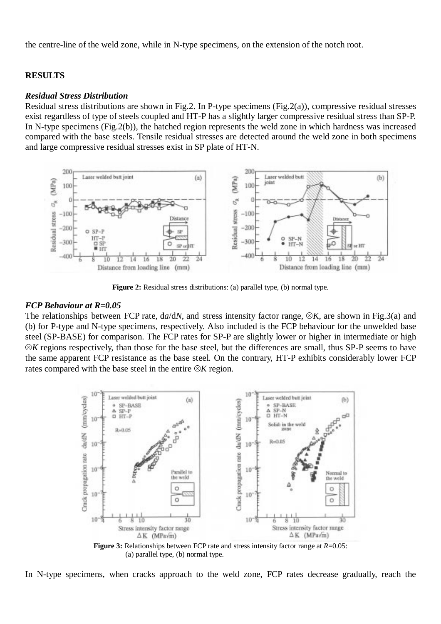the centre-line of the weld zone, while in N-type specimens, on the extension of the notch root.

#### **RESULTS**

#### *Residual Stress Distribution*

Residual stress distributions are shown in Fig.2. In P-type specimens (Fig.2(a)), compressive residual stresses exist regardless of type of steels coupled and HT-P has a slightly larger compressive residual stress than SP-P. In N-type specimens (Fig.2(b)), the hatched region represents the weld zone in which hardness was increased compared with the base steels. Tensile residual stresses are detected around the weld zone in both specimens and large compressive residual stresses exist in SP plate of HT-N.



**Figure 2:** Residual stress distributions: (a) parallel type, (b) normal type.

#### *FCP Behaviour at R=0.05*

The relationships between FCP rate,  $da/dN$ , and stress intensity factor range,  $\otimes K$ , are shown in Fig.3(a) and (b) for P-type and N-type specimens, respectively. Also included is the FCP behaviour for the unwelded base steel (SP-BASE) for comparison. The FCP rates for SP-P are slightly lower or higher in intermediate or high  $\otimes K$  regions respectively, than those for the base steel, but the differences are small, thus SP-P seems to have the same apparent FCP resistance as the base steel. On the contrary, HT-P exhibits considerably lower FCP rates compared with the base steel in the entire  $\otimes K$  region.



**Figure 3:** Relationships between FCP rate and stress intensity factor range at *R*=0.05: (a) parallel type, (b) normal type.

In N-type specimens, when cracks approach to the weld zone, FCP rates decrease gradually, reach the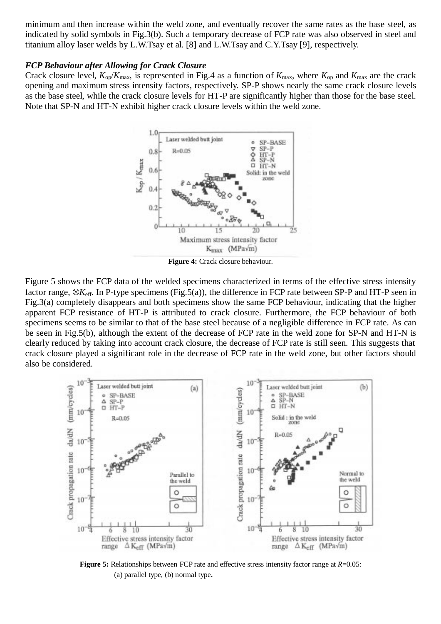minimum and then increase within the weld zone, and eventually recover the same rates as the base steel, as indicated by solid symbols in Fig.3(b). Such a temporary decrease of FCP rate was also observed in steel and titanium alloy laser welds by L.W.Tsay et al. [8] and L.W.Tsay and C.Y.Tsay [9], respectively.

#### *FCP Behaviour after Allowing for Crack Closure*

Crack closure level,  $K_{op}/K_{max}$ , is represented in Fig.4 as a function of  $K_{max}$ , where  $K_{op}$  and  $K_{max}$  are the crack opening and maximum stress intensity factors, respectively. SP-P shows nearly the same crack closure levels as the base steel, while the crack closure levels for HT-P are significantly higher than those for the base steel. Note that SP-N and HT-N exhibit higher crack closure levels within the weld zone.



**Figure 4:** Crack closure behaviour.

Figure 5 shows the FCP data of the welded specimens characterized in terms of the effective stress intensity factor range,  $\otimes K_{\text{eff}}$ . In P-type specimens (Fig.5(a)), the difference in FCP rate between SP-P and HT-P seen in Fig.3(a) completely disappears and both specimens show the same FCP behaviour, indicating that the higher apparent FCP resistance of HT-P is attributed to crack closure. Furthermore, the FCP behaviour of both specimens seems to be similar to that of the base steel because of a negligible difference in FCP rate. As can be seen in Fig.5(b), although the extent of the decrease of FCP rate in the weld zone for SP-N and HT-N is clearly reduced by taking into account crack closure, the decrease of FCP rate is still seen. This suggests that crack closure played a significant role in the decrease of FCP rate in the weld zone, but other factors should also be considered.



**Figure 5:** Relationships between FCP rate and effective stress intensity factor range at *R*=0.05: (a) parallel type, (b) normal type.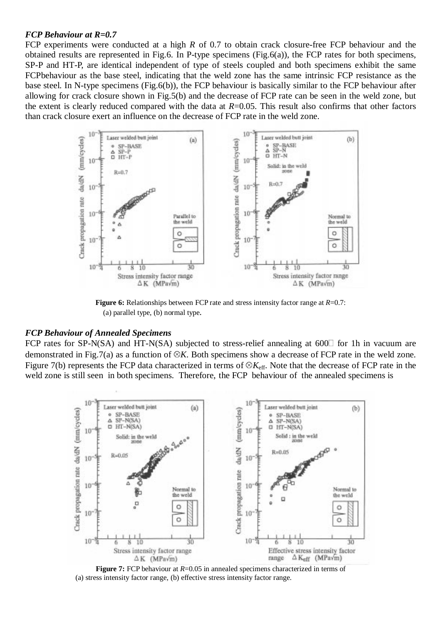#### *FCP Behaviour at R=0.7*

FCP experiments were conducted at a high *R* of 0.7 to obtain crack closure-free FCP behaviour and the obtained results are represented in Fig.6. In P-type specimens (Fig.6(a)), the FCP rates for both specimens, SP-P and HT-P, are identical independent of type of steels coupled and both specimens exhibit the same FCPbehaviour as the base steel, indicating that the weld zone has the same intrinsic FCP resistance as the base steel. In N-type specimens (Fig.6(b)), the FCP behaviour is basically similar to the FCP behaviour after allowing for crack closure shown in Fig.5(b) and the decrease of FCP rate can be seen in the weld zone, but the extent is clearly reduced compared with the data at *R*=0.05. This result also confirms that other factors than crack closure exert an influence on the decrease of FCP rate in the weld zone.



**Figure 6:** Relationships between FCP rate and stress intensity factor range at *R*=0.7: (a) parallel type, (b) normal type.

#### *FCP Behaviour of Annealed Specimens*

FCP rates for SP-N(SA) and HT-N(SA) subjected to stress-relief annealing at  $600\degree$  for 1h in vacuum are demonstrated in Fig.7(a) as a function of  $\mathcal{R}K$ . Both specimens show a decrease of FCP rate in the weld zone. Figure 7(b) represents the FCP data characterized in terms of  $\otimes K_{\text{eff}}$ . Note that the decrease of FCP rate in the weld zone is still seen in both specimens. Therefore, the FCP behaviour of the annealed specimens is



**Figure 7:** FCP behaviour at  $R=0.05$  in annealed specimens characterized in terms of (a) stress intensity factor range, (b) effective stress intensity factor range.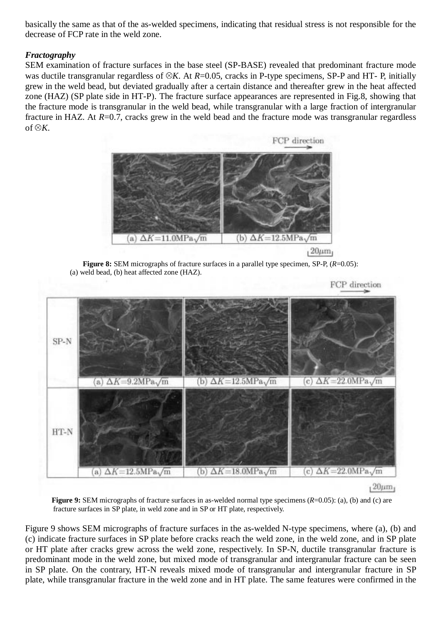basically the same as that of the as-welded specimens, indicating that residual stress is not responsible for the decrease of FCP rate in the weld zone.

# *Fractography*

SEM examination of fracture surfaces in the base steel (SP-BASE) revealed that predominant fracture mode was ductile transgranular regardless of  $\mathcal{X}$ . At *R*=0.05, cracks in P-type specimens, SP-P and HT- P, initially grew in the weld bead, but deviated gradually after a certain distance and thereafter grew in the heat affected zone (HAZ) (SP plate side in HT-P). The fracture surface appearances are represented in Fig.8, showing that the fracture mode is transgranular in the weld bead, while transgranular with a large fraction of intergranular fracture in HAZ. At *R*=0.7, cracks grew in the weld bead and the fracture mode was transgranular regardless of  $\otimes K$ .



**Figure 8:** SEM micrographs of fracture surfaces in a parallel type specimen, SP-P,  $(R=0.05)$ : (a) weld bead, (b) heat affected zone (HAZ).





**Figure 9:** SEM micrographs of fracture surfaces in as-welded normal type specimens (*R*=0.05): (a), (b) and (c) are fracture surfaces in SP plate, in weld zone and in SP or HT plate, respectively.

Figure 9 shows SEM micrographs of fracture surfaces in the as-welded N-type specimens, where (a), (b) and (c) indicate fracture surfaces in SP plate before cracks reach the weld zone, in the weld zone, and in SP plate or HT plate after cracks grew across the weld zone, respectively. In SP-N, ductile transgranular fracture is predominant mode in the weld zone, but mixed mode of transgranular and intergranular fracture can be seen in SP plate. On the contrary, HT-N reveals mixed mode of transgranular and intergranular fracture in SP plate, while transgranular fracture in the weld zone and in HT plate. The same features were confirmed in the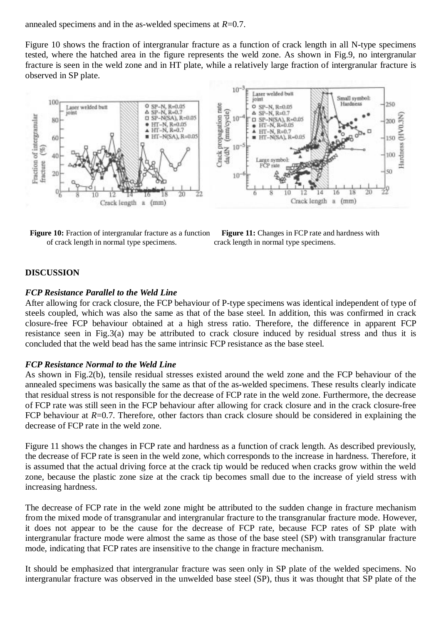annealed specimens and in the as-welded specimens at *R*=0.7.

Figure 10 shows the fraction of intergranular fracture as a function of crack length in all N-type specimens tested, where the hatched area in the figure represents the weld zone. As shown in Fig.9, no intergranular fracture is seen in the weld zone and in HT plate, while a relatively large fraction of intergranular fracture is observed in SP plate.



**Figure 10:** Fraction of intergranular fracture as a function **Figure 11:** Changes in FCP rate and hardness with of crack length in normal type specimens. crack length in normal type specimens.



## **DISCUSSION**

## *FCP Resistance Parallel to the Weld Line*

After allowing for crack closure, the FCP behaviour of P-type specimens was identical independent of type of steels coupled, which was also the same as that of the base steel. In addition, this was confirmed in crack closure-free FCP behaviour obtained at a high stress ratio. Therefore, the difference in apparent FCP resistance seen in Fig.3(a) may be attributed to crack closure induced by residual stress and thus it is concluded that the weld bead has the same intrinsic FCP resistance as the base steel.

# *FCP Resistance Normal to the Weld Line*

As shown in Fig.2(b), tensile residual stresses existed around the weld zone and the FCP behaviour of the annealed specimens was basically the same as that of the as-welded specimens. These results clearly indicate that residual stress is not responsible for the decrease of FCP rate in the weld zone. Furthermore, the decrease of FCP rate was still seen in the FCP behaviour after allowing for crack closure and in the crack closure-free FCP behaviour at *R*=0.7. Therefore, other factors than crack closure should be considered in explaining the decrease of FCP rate in the weld zone.

Figure 11 shows the changes in FCP rate and hardness as a function of crack length. As described previously, the decrease of FCP rate is seen in the weld zone, which corresponds to the increase in hardness. Therefore, it is assumed that the actual driving force at the crack tip would be reduced when cracks grow within the weld zone, because the plastic zone size at the crack tip becomes small due to the increase of yield stress with increasing hardness.

The decrease of FCP rate in the weld zone might be attributed to the sudden change in fracture mechanism from the mixed mode of transgranular and intergranular fracture to the transgranular fracture mode. However, it does not appear to be the cause for the decrease of FCP rate, because FCP rates of SP plate with intergranular fracture mode were almost the same as those of the base steel (SP) with transgranular fracture mode, indicating that FCP rates are insensitive to the change in fracture mechanism.

It should be emphasized that intergranular fracture was seen only in SP plate of the welded specimens. No intergranular fracture was observed in the unwelded base steel (SP), thus it was thought that SP plate of the